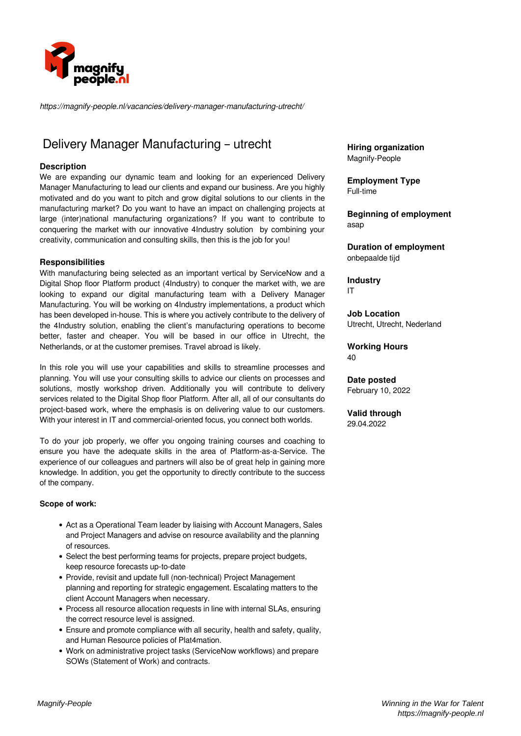

*https://magnify-people.nl/vacancies/delivery-manager-manufacturing-utrecht/*

## Delivery Manager Manufacturing – utrecht

#### **Description**

We are expanding our dynamic team and looking for an experienced Delivery Manager Manufacturing to lead our clients and expand our business. Are you highly motivated and do you want to pitch and grow digital solutions to our clients in the manufacturing market? Do you want to have an impact on challenging projects at large (inter)national manufacturing organizations? If you want to contribute to conquering the market with our innovative 4Industry solution by combining your creativity, communication and consulting skills, then this is the job for you!

#### **Responsibilities**

With manufacturing being selected as an important vertical by ServiceNow and a Digital Shop floor Platform product (4Industry) to conquer the market with, we are looking to expand our digital manufacturing team with a Delivery Manager Manufacturing. You will be working on 4Industry implementations, a product which has been developed in-house. This is where you actively contribute to the delivery of the 4Industry solution, enabling the client's manufacturing operations to become better, faster and cheaper. You will be based in our office in Utrecht, the Netherlands, or at the customer premises. Travel abroad is likely.

In this role you will use your capabilities and skills to streamline processes and planning. You will use your consulting skills to advice our clients on processes and solutions, mostly workshop driven. Additionally you will contribute to delivery services related to the Digital Shop floor Platform. After all, all of our consultants do project-based work, where the emphasis is on delivering value to our customers. With your interest in IT and commercial-oriented focus, you connect both worlds.

To do your job properly, we offer you ongoing training courses and coaching to ensure you have the adequate skills in the area of Platform-as-a-Service. The experience of our colleagues and partners will also be of great help in gaining more knowledge. In addition, you get the opportunity to directly contribute to the success of the company.

#### **Scope of work:**

- Act as a Operational Team leader by liaising with Account Managers, Sales and Project Managers and advise on resource availability and the planning of resources.
- Select the best performing teams for projects, prepare project budgets, keep resource forecasts up-to-date
- Provide, revisit and update full (non-technical) Project Management planning and reporting for strategic engagement. Escalating matters to the client Account Managers when necessary.
- Process all resource allocation requests in line with internal SLAs, ensuring the correct resource level is assigned.
- Ensure and promote compliance with all security, health and safety, quality, and Human Resource policies of Plat4mation.
- Work on administrative project tasks (ServiceNow workflows) and prepare SOWs (Statement of Work) and contracts.

**Hiring organization** Magnify-People

**Employment Type** Full-time

**Beginning of employment** asap

**Duration of employment** onbepaalde tijd

**Industry** IT

**Job Location** Utrecht, Utrecht, Nederland

**Working Hours** 40

**Date posted** February 10, 2022

**Valid through** 29.04.2022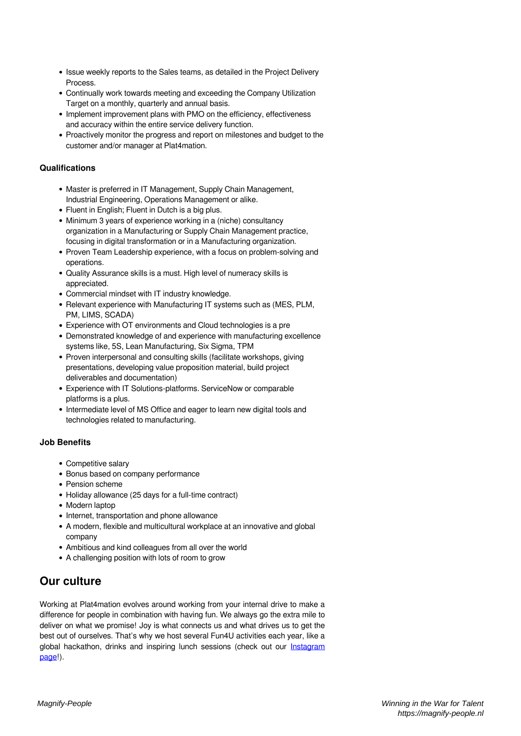- Issue weekly reports to the Sales teams, as detailed in the Project Delivery **Process**
- Continually work towards meeting and exceeding the Company Utilization Target on a monthly, quarterly and annual basis.
- Implement improvement plans with PMO on the efficiency, effectiveness and accuracy within the entire service delivery function.
- Proactively monitor the progress and report on milestones and budget to the customer and/or manager at Plat4mation.

### **Qualifications**

- Master is preferred in IT Management, Supply Chain Management, Industrial Engineering, Operations Management or alike.
- Fluent in English; Fluent in Dutch is a big plus.
- Minimum 3 years of experience working in a (niche) consultancy organization in a Manufacturing or Supply Chain Management practice, focusing in digital transformation or in a Manufacturing organization.
- Proven Team Leadership experience, with a focus on problem-solving and operations.
- Quality Assurance skills is a must. High level of numeracy skills is appreciated.
- Commercial mindset with IT industry knowledge.
- Relevant experience with Manufacturing IT systems such as (MES, PLM, PM, LIMS, SCADA)
- Experience with OT environments and Cloud technologies is a pre
- Demonstrated knowledge of and experience with manufacturing excellence systems like, 5S, Lean Manufacturing, Six Sigma, TPM
- Proven interpersonal and consulting skills (facilitate workshops, giving presentations, developing value proposition material, build project deliverables and documentation)
- Experience with IT Solutions-platforms. ServiceNow or comparable platforms is a plus.
- Intermediate level of MS Office and eager to learn new digital tools and technologies related to manufacturing.

## **Job Benefits**

- Competitive salary
- Bonus based on company performance
- Pension scheme
- Holiday allowance (25 days for a full-time contract)
- Modern laptop
- Internet, transportation and phone allowance
- A modern, flexible and multicultural workplace at an innovative and global company
- Ambitious and kind colleagues from all over the world
- A challenging position with lots of room to grow

# **Our culture**

Working at Plat4mation evolves around working from your internal drive to make a difference for people in combination with having fun. We always go the extra mile to deliver on what we promise! Joy is what connects us and what drives us to get the best out of ourselves. That's why we host several Fun4U activities each year, like a global hackathon, drinks and inspiring lunch sessions (check out our [Instagram](https://www.instagram.com/workingatp4m/) [page](https://www.instagram.com/workingatp4m/)!).